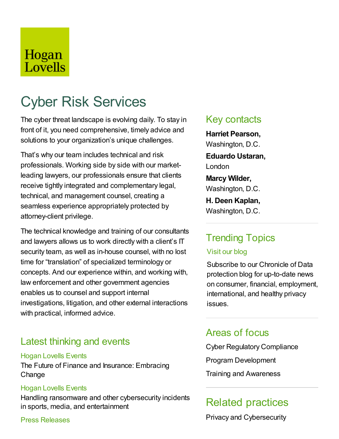## Hogan Lovells

# Cyber Risk Services

The cyber threat landscape is evolving daily. To stay in front of it, you need comprehensive, timely advice and solutions to your organization's unique challenges.

That's why our team includes technical and risk professionals. Working side by side with our marketleading lawyers, our professionals ensure that clients receive tightly integrated and complementary legal, technical, and management counsel, creating a seamless experience appropriately protected by attorney-client privilege.

The technical knowledge and training of our consultants and lawyers allows us to work directly with a client's IT security team, as well as in-house counsel, with no lost time for "translation" of specialized terminology or concepts. And our experience within, and working with, law enforcement and other government agencies enables us to counsel and support internal investigations, litigation, and other external interactions with practical, informed advice.

## Latest thinking and events

#### Hogan Lovells Events

The Future of Finance and Insurance: Embracing **Change** 

#### Hogan Lovells Events

Handling ransomware and other cybersecurity incidents in sports, media, and entertainment

Press Releases

### Key contacts

**Harriet Pearson,** Washington, D.C. **Eduardo Ustaran,** London **Marcy Wilder,** Washington, D.C. **H. Deen Kaplan,** Washington, D.C.

## Trending Topics

#### Visit our blog

Subscribe to our Chronicle of Data protection blog for up-to-date news on consumer, financial, employment, international, and healthy privacy issues.

## Areas of focus

Cyber Regulatory Compliance Program Development Training and Awareness

## Related practices

Privacy and Cybersecurity